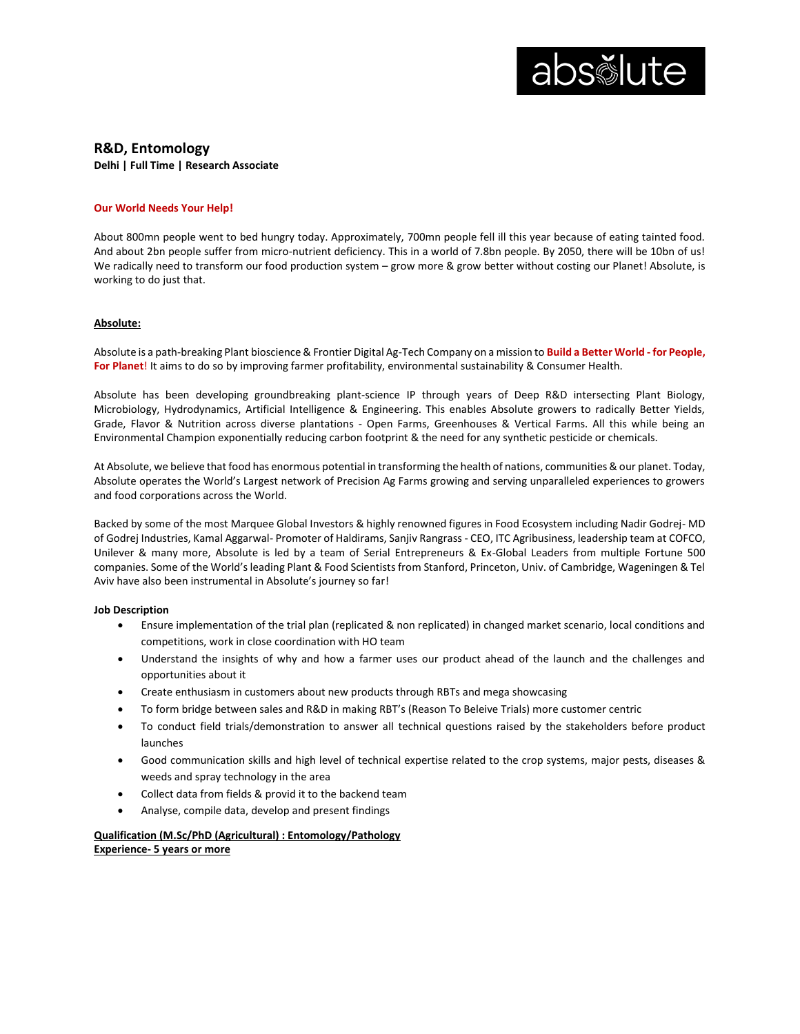

# **R&D, Entomology**

**Delhi | Full Time | Research Associate**

# **Our World Needs Your Help!**

About 800mn people went to bed hungry today. Approximately, 700mn people fell ill this year because of eating tainted food. And about 2bn people suffer from micro-nutrient deficiency. This in a world of 7.8bn people. By 2050, there will be 10bn of us! We radically need to transform our food production system – grow more & grow better without costing our Planet! Absolute, is working to do just that.

# **Absolute:**

Absolute is a path-breaking Plant bioscience & Frontier Digital Ag-Tech Company on a mission to **Build a Better World - for People, For Planet**! It aims to do so by improving farmer profitability, environmental sustainability & Consumer Health.

Absolute has been developing groundbreaking plant-science IP through years of Deep R&D intersecting Plant Biology, Microbiology, Hydrodynamics, Artificial Intelligence & Engineering. This enables Absolute growers to radically Better Yields, Grade, Flavor & Nutrition across diverse plantations - Open Farms, Greenhouses & Vertical Farms. All this while being an Environmental Champion exponentially reducing carbon footprint & the need for any synthetic pesticide or chemicals.

At Absolute, we believe that food has enormous potential in transforming the health of nations, communities & our planet. Today, Absolute operates the World's Largest network of Precision Ag Farms growing and serving unparalleled experiences to growers and food corporations across the World.

Backed by some of the most Marquee Global Investors & highly renowned figures in Food Ecosystem including Nadir Godrej- MD of Godrej Industries, Kamal Aggarwal- Promoter of Haldirams, Sanjiv Rangrass - CEO, ITC Agribusiness, leadership team at COFCO, Unilever & many more, Absolute is led by a team of Serial Entrepreneurs & Ex-Global Leaders from multiple Fortune 500 companies. Some of the World's leading Plant & Food Scientists from Stanford, Princeton, Univ. of Cambridge, Wageningen & Tel Aviv have also been instrumental in Absolute's journey so far!

#### **Job Description**

- Ensure implementation of the trial plan (replicated & non replicated) in changed market scenario, local conditions and competitions, work in close coordination with HO team
- Understand the insights of why and how a farmer uses our product ahead of the launch and the challenges and opportunities about it
- Create enthusiasm in customers about new products through RBTs and mega showcasing
- To form bridge between sales and R&D in making RBT's (Reason To Beleive Trials) more customer centric
- To conduct field trials/demonstration to answer all technical questions raised by the stakeholders before product launches
- Good communication skills and high level of technical expertise related to the crop systems, major pests, diseases & weeds and spray technology in the area
- Collect data from fields & provid it to the backend team
- Analyse, compile data, develop and present findings

**Qualification (M.Sc/PhD (Agricultural) : Entomology/Pathology Experience- 5 years or more**